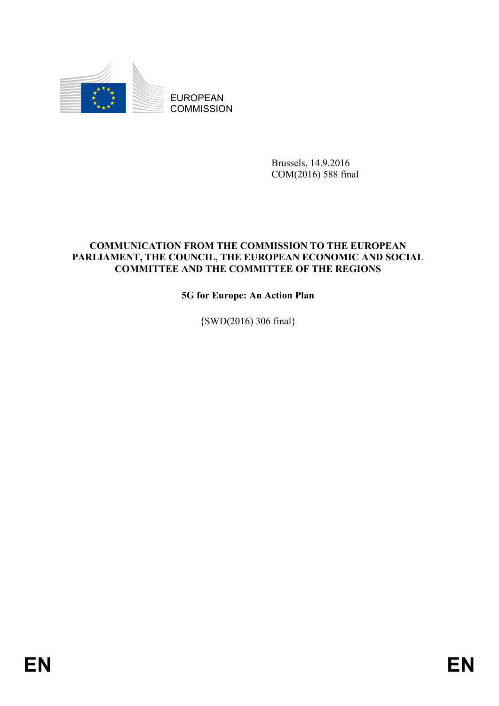

EUROPEAN **COMMISSION** 

> Brussels, 14.9.2016 COM(2016) 588 final

## **COMMUNICATION FROM THE COMMISSION TO THE EUROPEAN PARLIAMENT, THE COUNCIL, THE EUROPEAN ECONOMIC AND SOCIAL COMMITTEE AND THE COMMITTEE OF THE REGIONS**

# **5G for Europe: An Action Plan**

{SWD(2016) 306 final}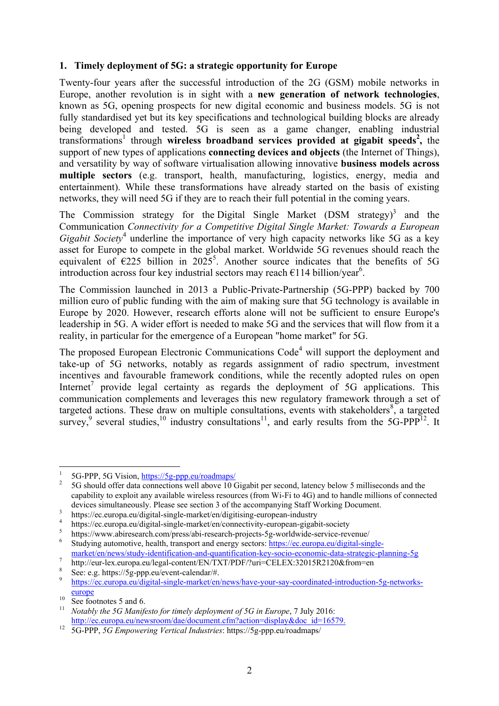#### **1. Timely deployment of 5G: a strategic opportunity for Europe**

Twenty-four years after the successful introduction of the 2G (GSM) mobile networks in Europe, another revolution is in sight with a **new generation of network technologies**, known as 5G, opening prospects for new digital economic and business models. 5G is not fully standardised yet but its key specifications and technological building blocks are already being developed and tested. 5G is seen as a game changer, enabling industrial transformations<sup>1</sup> through wireless broadband services provided at gigabit speeds<sup>2</sup>, the support of new types of applications **connecting devices and objects** (the Internet of Things), and versatility by way of software virtualisation allowing innovative **business models across multiple sectors** (e.g. transport, health, manufacturing, logistics, energy, media and entertainment). While these transformations have already started on the basis of existing networks, they will need 5G if they are to reach their full potential in the coming years.

The Commission strategy for the Digital Single Market  $(DSM \text{ strategy})^3$  and the Communication *Connectivity for a Competitive Digital Single Market: Towards a European*  Gigabit Society<sup>4</sup> underline the importance of very high capacity networks like 5G as a key asset for Europe to compete in the global market. Worldwide 5G revenues should reach the equivalent of  $\epsilon$ 225 billion in 2025<sup>5</sup>. Another source indicates that the benefits of 5G introduction across four key industrial sectors may reach  $\epsilon$ 114 billion/year<sup>6</sup>.

The Commission launched in 2013 a Public-Private-Partnership (5G-PPP) backed by 700 million euro of public funding with the aim of making sure that 5G technology is available in Europe by 2020. However, research efforts alone will not be sufficient to ensure Europe's leadership in 5G. A wider effort is needed to make 5G and the services that will flow from it a reality, in particular for the emergence of a European "home market" for 5G.

The proposed European Electronic Communications Code<sup>4</sup> will support the deployment and take-up of 5G networks, notably as regards assignment of radio spectrum, investment incentives and favourable framework conditions, while the recently adopted rules on open Internet<sup>7</sup> provide legal certainty as regards the deployment of  $5G$  applications. This communication complements and leverages this new regulatory framework through a set of targeted actions. These draw on multiple consultations, events with stakeholders $\frac{8}{3}$ , a targeted survey,<sup>9</sup> several studies,<sup>10</sup> industry consultations<sup>11</sup>, and early results from the 5G-PPP<sup>12</sup>. It

 $\frac{1}{1}$ 5G-PPP, 5G Vision[, https://5g-ppp.eu/roadmaps/](https://5g-ppp.eu/roadmaps/)

<sup>2</sup> 5G should offer data connections well above 10 Gigabit per second, latency below 5 milliseconds and the capability to exploit any available wireless resources (from Wi-Fi to 4G) and to handle millions of connected devices simultaneously. Please see section 3 of the accompanying Staff Working Document.

<sup>3</sup> https://ec.europa.eu/digital-single-market/en/digitising-european-industry

<sup>4</sup> https://ec.europa.eu/digital-single-market/en/connectivity-european-gigabit-society

<sup>5</sup> https://www.abiresearch.com/press/abi-research-projects-5g-worldwide-service-revenue/

<sup>6</sup> Studying automotive, health, transport and energy sectors: [https://ec.europa.eu/digital-single](https://ec.europa.eu/digital-single-market/en/news/study-identification-and-quantification-key-socio-economic-data-strategic-planning-5g)[market/en/news/study-identification-and-quantification-key-socio-economic-data-strategic-planning-5g](https://ec.europa.eu/digital-single-market/en/news/study-identification-and-quantification-key-socio-economic-data-strategic-planning-5g)

<sup>7</sup> http://eur-lex.europa.eu/legal-content/EN/TXT/PDF/?uri=CELEX:32015R2120&from=en

<sup>8</sup> See: e.g. https://5g-ppp.eu/event-calendar/#.

<sup>9</sup> [https://ec.europa.eu/digital-single-market/en/news/have-your-say-coordinated-introduction-5g-networks](https://ec.europa.eu/digital-single-market/en/news/have-your-say-coordinated-introduction-5g-networks-europe)[europe](https://ec.europa.eu/digital-single-market/en/news/have-your-say-coordinated-introduction-5g-networks-europe)

 $\frac{10}{11}$  See footnotes 5 and 6.

<sup>11</sup> *Notably the 5G Manifesto for timely deployment of 5G in Europe*, 7 July 2016: [http://ec.europa.eu/newsroom/dae/document.cfm?action=display&doc\\_id=16579.](http://ec.europa.eu/newsroom/dae/document.cfm?action=display&doc_id=16579)

<sup>12</sup> 5G-PPP, *5G Empowering Vertical Industries*: https://5g-ppp.eu/roadmaps/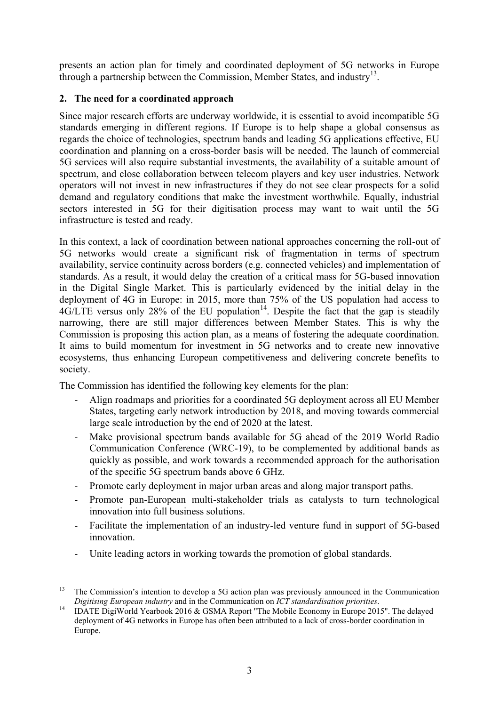presents an action plan for timely and coordinated deployment of 5G networks in Europe through a partnership between the Commission, Member States, and industry<sup>13</sup>.

# **2. The need for a coordinated approach**

Since major research efforts are underway worldwide, it is essential to avoid incompatible 5G standards emerging in different regions. If Europe is to help shape a global consensus as regards the choice of technologies, spectrum bands and leading 5G applications effective, EU coordination and planning on a cross-border basis will be needed. The launch of commercial 5G services will also require substantial investments, the availability of a suitable amount of spectrum, and close collaboration between telecom players and key user industries. Network operators will not invest in new infrastructures if they do not see clear prospects for a solid demand and regulatory conditions that make the investment worthwhile. Equally, industrial sectors interested in 5G for their digitisation process may want to wait until the 5G infrastructure is tested and ready.

In this context, a lack of coordination between national approaches concerning the roll-out of 5G networks would create a significant risk of fragmentation in terms of spectrum availability, service continuity across borders (e.g. connected vehicles) and implementation of standards. As a result, it would delay the creation of a critical mass for 5G-based innovation in the Digital Single Market. This is particularly evidenced by the initial delay in the deployment of 4G in Europe: in 2015, more than 75% of the US population had access to  $4G/LTE$  versus only 28% of the EU population<sup>14</sup>. Despite the fact that the gap is steadily narrowing, there are still major differences between Member States. This is why the Commission is proposing this action plan, as a means of fostering the adequate coordination. It aims to build momentum for investment in 5G networks and to create new innovative ecosystems, thus enhancing European competitiveness and delivering concrete benefits to society.

The Commission has identified the following key elements for the plan:

- Align roadmaps and priorities for a coordinated 5G deployment across all EU Member States, targeting early network introduction by 2018, and moving towards commercial large scale introduction by the end of 2020 at the latest.
- Make provisional spectrum bands available for 5G ahead of the 2019 World Radio Communication Conference (WRC-19), to be complemented by additional bands as quickly as possible, and work towards a recommended approach for the authorisation of the specific 5G spectrum bands above 6 GHz.
- Promote early deployment in major urban areas and along major transport paths.
- Promote pan-European multi-stakeholder trials as catalysts to turn technological innovation into full business solutions.
- Facilitate the implementation of an industry-led venture fund in support of 5G-based innovation.
- Unite leading actors in working towards the promotion of global standards.

<sup>13</sup> The Commission's intention to develop a 5G action plan was previously announced in the Communication *Digitising European industry* and in the Communication on *ICT standardisation priorities*.

<sup>&</sup>lt;sup>14</sup> IDATE DigiWorld Yearbook 2016 & GSMA Report "The Mobile Economy in Europe 2015". The delayed deployment of 4G networks in Europe has often been attributed to a lack of cross-border coordination in Europe.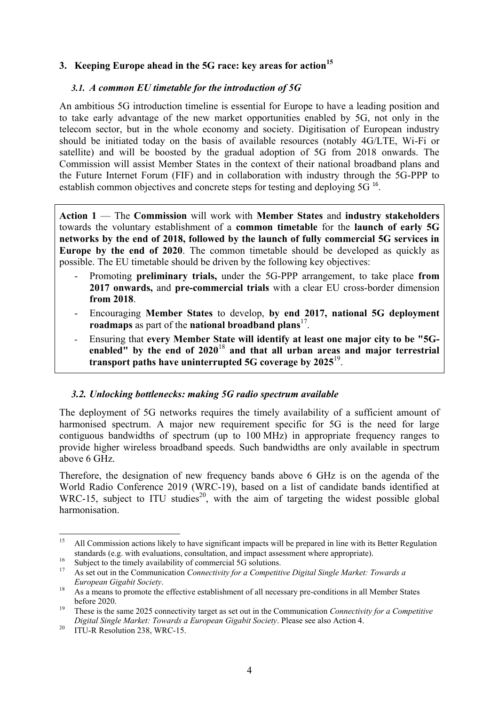### **3. Keeping Europe ahead in the 5G race: key areas for action<sup>15</sup>**

#### *3.1. A common EU timetable for the introduction of 5G*

An ambitious 5G introduction timeline is essential for Europe to have a leading position and to take early advantage of the new market opportunities enabled by 5G, not only in the telecom sector, but in the whole economy and society. Digitisation of European industry should be initiated today on the basis of available resources (notably 4G/LTE, Wi-Fi or satellite) and will be boosted by the gradual adoption of 5G from 2018 onwards. The Commission will assist Member States in the context of their national broadband plans and the Future Internet Forum (FIF) and in collaboration with industry through the 5G-PPP to establish common objectives and concrete steps for testing and deploying 5G<sup>16</sup>.

**Action 1** — The **Commission** will work with **Member States** and **industry stakeholders** towards the voluntary establishment of a **common timetable** for the **launch of early 5G networks by the end of 2018, followed by the launch of fully commercial 5G services in Europe by the end of 2020**. The common timetable should be developed as quickly as possible. The EU timetable should be driven by the following key objectives:

- Promoting **preliminary trials,** under the 5G-PPP arrangement, to take place **from 2017 onwards,** and **pre-commercial trials** with a clear EU cross-border dimension **from 2018**.
- Encouraging **Member States** to develop, **by end 2017, national 5G deployment**  roadmaps as part of the national broadband plans<sup>17</sup>.
- Ensuring that **every Member State will identify at least one major city to be "5Genabled" by the end of 2020**<sup>18</sup> **and that all urban areas and major terrestrial transport paths have uninterrupted 5G coverage by 2025**<sup>19</sup> .

### *3.2. Unlocking bottlenecks: making 5G radio spectrum available*

The deployment of 5G networks requires the timely availability of a sufficient amount of harmonised spectrum. A major new requirement specific for 5G is the need for large contiguous bandwidths of spectrum (up to 100 MHz) in appropriate frequency ranges to provide higher wireless broadband speeds. Such bandwidths are only available in spectrum above 6 GHz.

Therefore, the designation of new frequency bands above 6 GHz is on the agenda of the World Radio Conference 2019 (WRC-19), based on a list of candidate bands identified at WRC-15, subject to ITU studies<sup>20</sup>, with the aim of targeting the widest possible global harmonisation.

<sup>15</sup> <sup>15</sup> All Commission actions likely to have significant impacts will be prepared in line with its Better Regulation standards (e.g. with evaluations, consultation, and impact assessment where appropriate).

<sup>&</sup>lt;sup>16</sup> Subject to the timely availability of commercial 5G solutions.

<sup>17</sup> As set out in the Communication *Connectivity for a Competitive Digital Single Market: Towards a European Gigabit Society*.

<sup>&</sup>lt;sup>18</sup> As a means to promote the effective establishment of all necessary pre-conditions in all Member States before 2020.

<sup>19</sup> These is the same 2025 connectivity target as set out in the Communication *Connectivity for a Competitive Digital Single Market: Towards a European Gigabit Society*. Please see also Action 4.

<sup>&</sup>lt;sup>20</sup> ITU-R Resolution 238, WRC-15.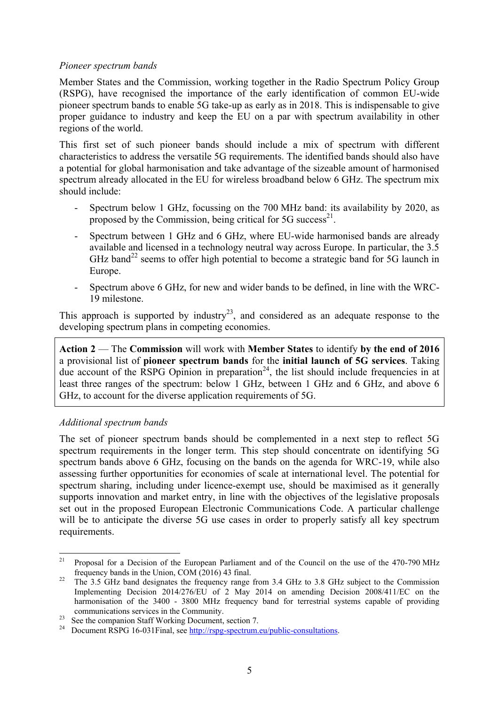#### *Pioneer spectrum bands*

Member States and the Commission, working together in the Radio Spectrum Policy Group (RSPG), have recognised the importance of the early identification of common EU-wide pioneer spectrum bands to enable 5G take-up as early as in 2018. This is indispensable to give proper guidance to industry and keep the EU on a par with spectrum availability in other regions of the world.

This first set of such pioneer bands should include a mix of spectrum with different characteristics to address the versatile 5G requirements. The identified bands should also have a potential for global harmonisation and take advantage of the sizeable amount of harmonised spectrum already allocated in the EU for wireless broadband below 6 GHz. The spectrum mix should include:

- Spectrum below 1 GHz, focussing on the 700 MHz band: its availability by 2020, as proposed by the Commission, being critical for  $5G$  success<sup>21</sup>.
- Spectrum between 1 GHz and 6 GHz, where EU-wide harmonised bands are already available and licensed in a technology neutral way across Europe. In particular, the 3.5 GHz band<sup>22</sup> seems to offer high potential to become a strategic band for 5G launch in Europe.
- Spectrum above 6 GHz, for new and wider bands to be defined, in line with the WRC-19 milestone.

This approach is supported by industry<sup>23</sup>, and considered as an adequate response to the developing spectrum plans in competing economies.

**Action 2** — The **Commission** will work with **Member States** to identify **by the end of 2016** a provisional list of **pioneer spectrum bands** for the **initial launch of 5G services**. Taking due account of the RSPG Opinion in preparation<sup>24</sup>, the list should include frequencies in at least three ranges of the spectrum: below 1 GHz, between 1 GHz and 6 GHz, and above 6 GHz, to account for the diverse application requirements of 5G.

### *Additional spectrum bands*

The set of pioneer spectrum bands should be complemented in a next step to reflect 5G spectrum requirements in the longer term. This step should concentrate on identifying 5G spectrum bands above 6 GHz, focusing on the bands on the agenda for WRC-19, while also assessing further opportunities for economies of scale at international level. The potential for spectrum sharing, including under licence-exempt use, should be maximised as it generally supports innovation and market entry, in line with the objectives of the legislative proposals set out in the proposed European Electronic Communications Code. A particular challenge will be to anticipate the diverse 5G use cases in order to properly satisfy all key spectrum requirements.

 $21$ <sup>21</sup> Proposal for a Decision of the European Parliament and of the Council on the use of the 470-790 MHz frequency bands in the Union, COM (2016) 43 final.

<sup>&</sup>lt;sup>22</sup> The 3.5 GHz band designates the frequency range from 3.4 GHz to 3.8 GHz subject to the Commission Implementing Decision 2014/276/EU of 2 May 2014 on amending Decision 2008/411/EC on the harmonisation of the 3400 - 3800 MHz frequency band for terrestrial systems capable of providing communications services in the Community.

<sup>&</sup>lt;sup>23</sup> See the companion Staff Working Document, section 7.

<sup>&</sup>lt;sup>24</sup> Document RSPG 16-031Final, see [http://rspg-spectrum.eu/public-consultations.](http://rspg-spectrum.eu/public-consultations)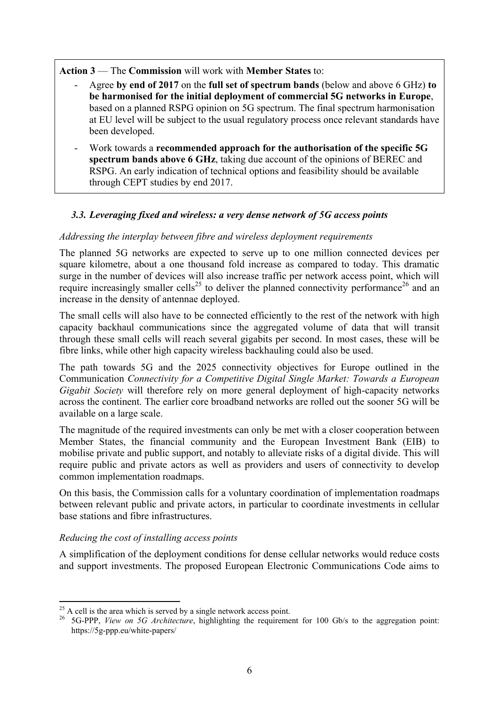**Action 3** — The **Commission** will work with **Member States** to:

- Agree **by end of 2017** on the **full set of spectrum bands** (below and above 6 GHz) **to be harmonised for the initial deployment of commercial 5G networks in Europe**, based on a planned RSPG opinion on 5G spectrum. The final spectrum harmonisation at EU level will be subject to the usual regulatory process once relevant standards have been developed.
- Work towards a **recommended approach for the authorisation of the specific 5G spectrum bands above 6 GHz**, taking due account of the opinions of BEREC and RSPG. An early indication of technical options and feasibility should be available through CEPT studies by end 2017.

# *3.3. Leveraging fixed and wireless: a very dense network of 5G access points*

# *Addressing the interplay between fibre and wireless deployment requirements*

The planned 5G networks are expected to serve up to one million connected devices per square kilometre, about a one thousand fold increase as compared to today. This dramatic surge in the number of devices will also increase traffic per network access point, which will require increasingly smaller cells<sup>25</sup> to deliver the planned connectivity performance<sup>26</sup> and an increase in the density of antennae deployed.

The small cells will also have to be connected efficiently to the rest of the network with high capacity backhaul communications since the aggregated volume of data that will transit through these small cells will reach several gigabits per second. In most cases, these will be fibre links, while other high capacity wireless backhauling could also be used.

The path towards 5G and the 2025 connectivity objectives for Europe outlined in the Communication *Connectivity for a Competitive Digital Single Market: Towards a European Gigabit Society* will therefore rely on more general deployment of high-capacity networks across the continent. The earlier core broadband networks are rolled out the sooner 5G will be available on a large scale.

The magnitude of the required investments can only be met with a closer cooperation between Member States, the financial community and the European Investment Bank (EIB) to mobilise private and public support, and notably to alleviate risks of a digital divide. This will require public and private actors as well as providers and users of connectivity to develop common implementation roadmaps.

On this basis, the Commission calls for a voluntary coordination of implementation roadmaps between relevant public and private actors, in particular to coordinate investments in cellular base stations and fibre infrastructures.

# *Reducing the cost of installing access points*

A simplification of the deployment conditions for dense cellular networks would reduce costs and support investments. The proposed European Electronic Communications Code aims to

<sup>1</sup>  $^{25}$  A cell is the area which is served by a single network access point.

<sup>26</sup> 5G-PPP, *View on 5G Architecture*, highlighting the requirement for 100 Gb/s to the aggregation point: https://5g-ppp.eu/white-papers/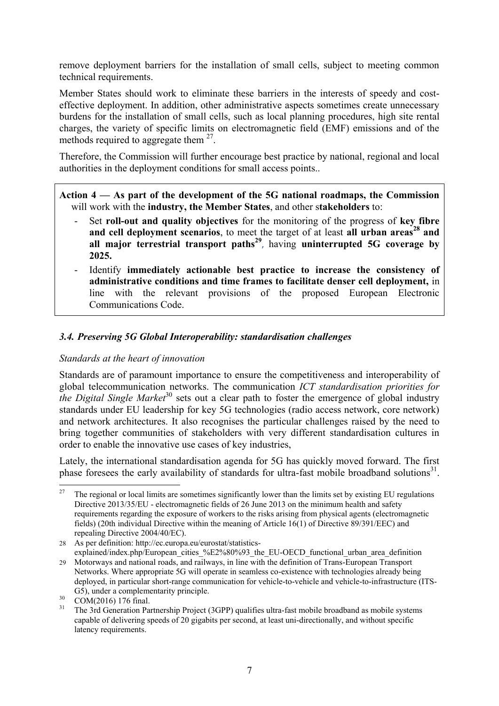remove deployment barriers for the installation of small cells, subject to meeting common technical requirements.

Member States should work to eliminate these barriers in the interests of speedy and costeffective deployment. In addition, other administrative aspects sometimes create unnecessary burdens for the installation of small cells, such as local planning procedures, high site rental charges, the variety of specific limits on electromagnetic field (EMF) emissions and of the methods required to aggregate them <sup>27</sup>.

Therefore, the Commission will further encourage best practice by national, regional and local authorities in the deployment conditions for small access points..

**Action 4 — As part of the development of the 5G national roadmaps, the Commission**  will work with the **industry, the Member States**, and other s**takeholders** to:

- Set **roll-out and quality objectives** for the monitoring of the progress of **key fibre and cell deployment scenarios**, to meet the target of at least **all urban areas<sup>28</sup> and all major terrestrial transport paths<sup>29</sup>** , having **uninterrupted 5G coverage by 2025.**
- Identify **immediately actionable best practice to increase the consistency of administrative conditions and time frames to facilitate denser cell deployment,** in line with the relevant provisions of the proposed European Electronic Communications Code.

## *3.4. Preserving 5G Global Interoperability: standardisation challenges*

#### *Standards at the heart of innovation*

Standards are of paramount importance to ensure the competitiveness and interoperability of global telecommunication networks. The communication *ICT standardisation priorities for the Digital Single Market*<sup>30</sup> sets out a clear path to foster the emergence of global industry standards under EU leadership for key 5G technologies (radio access network, core network) and network architectures. It also recognises the particular challenges raised by the need to bring together communities of stakeholders with very different standardisation cultures in order to enable the innovative use cases of key industries,

Lately, the international standardisation agenda for 5G has quickly moved forward. The first phase foresees the early availability of standards for ultra-fast mobile broadband solutions<sup>31</sup>.

<sup>27</sup> <sup>27</sup> The regional or local limits are sometimes significantly lower than the limits set by existing EU regulations Directive 2013/35/EU - electromagnetic fields of 26 June 2013 on the minimum health and safety requirements regarding the exposure of workers to the risks arising from physical agents (electromagnetic fields) (20th individual Directive within the meaning of Article 16(1) of Directive 89/391/EEC) and repealing Directive 2004/40/EC).

<sup>28</sup> As per definition[: http://ec.europa.eu/eurostat/statistics](http://ec.europa.eu/eurostat/statistics-explained/index.php/European_cities_%E2%80%93_the_EU-OECD_functional_urban_area_definition)[explained/index.php/European\\_cities\\_%E2%80%93\\_the\\_EU-OECD\\_functional\\_urban\\_area\\_definition](http://ec.europa.eu/eurostat/statistics-explained/index.php/European_cities_%E2%80%93_the_EU-OECD_functional_urban_area_definition)

<sup>29</sup> Motorways and national roads, and railways, in line with the definition of Trans-European Transport Networks. Where appropriate 5G will operate in seamless co-existence with technologies already being deployed, in particular short-range communication for vehicle-to-vehicle and vehicle-to-infrastructure (ITS-G5), under a complementarity principle.

 $\frac{30}{31}$  COM(2016) 176 final.

The 3rd Generation Partnership Project (3GPP) qualifies ultra-fast mobile broadband as mobile systems capable of delivering speeds of 20 gigabits per second, at least uni-directionally, and without specific latency requirements.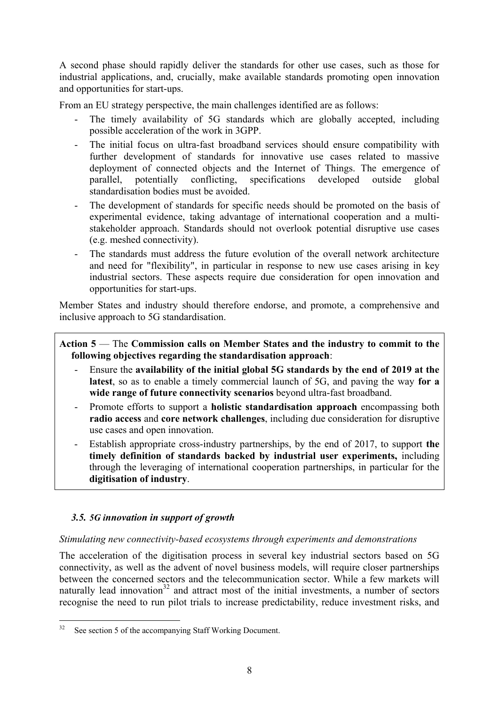A second phase should rapidly deliver the standards for other use cases, such as those for industrial applications, and, crucially, make available standards promoting open innovation and opportunities for start-ups.

From an EU strategy perspective, the main challenges identified are as follows:

- The timely availability of 5G standards which are globally accepted, including possible acceleration of the work in 3GPP.
- The initial focus on ultra-fast broadband services should ensure compatibility with further development of standards for innovative use cases related to massive deployment of connected objects and the Internet of Things. The emergence of parallel, potentially conflicting, specifications developed outside global standardisation bodies must be avoided.
- The development of standards for specific needs should be promoted on the basis of experimental evidence, taking advantage of international cooperation and a multistakeholder approach. Standards should not overlook potential disruptive use cases (e.g. meshed connectivity).
- The standards must address the future evolution of the overall network architecture and need for "flexibility", in particular in response to new use cases arising in key industrial sectors. These aspects require due consideration for open innovation and opportunities for start-ups.

Member States and industry should therefore endorse, and promote, a comprehensive and inclusive approach to 5G standardisation.

## **Action 5** — The **Commission calls on Member States and the industry to commit to the following objectives regarding the standardisation approach**:

- Ensure the **availability of the initial global 5G standards by the end of 2019 at the latest**, so as to enable a timely commercial launch of 5G, and paving the way **for a wide range of future connectivity scenarios** beyond ultra-fast broadband.
- Promote efforts to support a **holistic standardisation approach** encompassing both **radio access** and **core network challenges**, including due consideration for disruptive use cases and open innovation.
- Establish appropriate cross-industry partnerships, by the end of 2017, to support the **timely definition of standards backed by industrial user experiments,** including through the leveraging of international cooperation partnerships, in particular for the **digitisation of industry**.

# *3.5. 5G innovation in support of growth*

### *Stimulating new connectivity-based ecosystems through experiments and demonstrations*

The acceleration of the digitisation process in several key industrial sectors based on 5G connectivity, as well as the advent of novel business models, will require closer partnerships between the concerned sectors and the telecommunication sector. While a few markets will naturally lead innovation<sup>32</sup> and attract most of the initial investments, a number of sectors recognise the need to run pilot trials to increase predictability, reduce investment risks, and

 $32$ See section 5 of the accompanying Staff Working Document.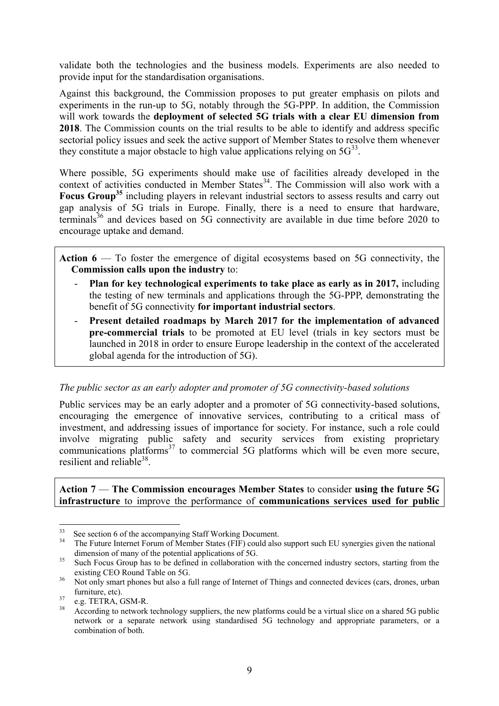validate both the technologies and the business models. Experiments are also needed to provide input for the standardisation organisations.

Against this background, the Commission proposes to put greater emphasis on pilots and experiments in the run-up to 5G, notably through the 5G-PPP. In addition, the Commission will work towards the **deployment of selected 5G trials with a clear EU dimension from 2018**. The Commission counts on the trial results to be able to identify and address specific sectorial policy issues and seek the active support of Member States to resolve them whenever they constitute a major obstacle to high value applications relying on  $5G^{33}$ .

Where possible, 5G experiments should make use of facilities already developed in the context of activities conducted in Member States $34$ . The Commission will also work with a **Focus Group<sup>35</sup>** including players in relevant industrial sectors to assess results and carry out gap analysis of 5G trials in Europe. Finally, there is a need to ensure that hardware, terminals<sup>36</sup> and devices based on  $5\overline{G}$  connectivity are available in due time before 2020 to encourage uptake and demand.

**Action 6** — To foster the emergence of digital ecosystems based on 5G connectivity, the **Commission calls upon the industry** to:

- Plan for key technological experiments to take place as early as in 2017, including the testing of new terminals and applications through the 5G-PPP, demonstrating the benefit of 5G connectivity **for important industrial sectors**.
- Present detailed roadmaps by March 2017 for the implementation of advanced **pre-commercial trials** to be promoted at EU level (trials in key sectors must be launched in 2018 in order to ensure Europe leadership in the context of the accelerated global agenda for the introduction of 5G).

#### *The public sector as an early adopter and promoter of 5G connectivity-based solutions*

Public services may be an early adopter and a promoter of 5G connectivity-based solutions, encouraging the emergence of innovative services, contributing to a critical mass of investment, and addressing issues of importance for society. For instance, such a role could involve migrating public safety and security services from existing proprietary communications platforms<sup>37</sup> to commercial 5G platforms which will be even more secure, resilient and reliable<sup>38</sup>.

**Action 7** — **The Commission encourages Member States** to consider **using the future 5G infrastructure** to improve the performance of **communications services used for public** 

 $33$  $33$  See section 6 of the accompanying Staff Working Document.

<sup>34</sup> The Future Internet Forum of Member States (FIF) could also support such EU synergies given the national dimension of many of the potential applications of 5G.

<sup>&</sup>lt;sup>35</sup> Such Focus Group has to be defined in collaboration with the concerned industry sectors, starting from the existing CEO Round Table on 5G.

<sup>&</sup>lt;sup>36</sup> Not only smart phones but also a full range of Internet of Things and connected devices (cars, drones, urban furniture, etc).

 $^{37}$  e.g. TETRA, GSM-R.

<sup>38</sup> According to network technology suppliers, the new platforms could be a virtual slice on a shared 5G public network or a separate network using standardised 5G technology and appropriate parameters, or a combination of both.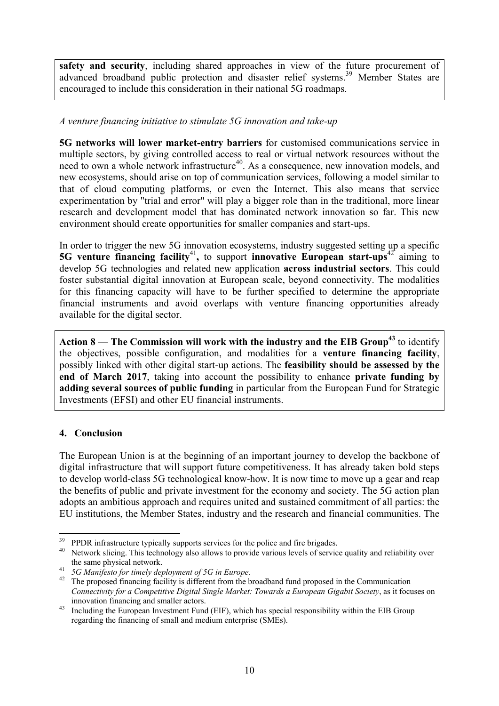safety and security, including shared approaches in view of the future procurement of advanced broadband public protection and disaster relief systems.<sup>39</sup> Member States are encouraged to include this consideration in their national 5G roadmaps.

## *A venture financing initiative to stimulate 5G innovation and take-up*

**5G networks will lower market-entry barriers** for customised communications service in multiple sectors, by giving controlled access to real or virtual network resources without the need to own a whole network infrastructure<sup>40</sup>. As a consequence, new innovation models, and new ecosystems, should arise on top of communication services, following a model similar to that of cloud computing platforms, or even the Internet. This also means that service experimentation by "trial and error" will play a bigger role than in the traditional, more linear research and development model that has dominated network innovation so far. This new environment should create opportunities for smaller companies and start-ups.

In order to trigger the new 5G innovation ecosystems, industry suggested setting up a specific **5G venture financing facility<sup>41</sup>, to support <b>innovative European start-ups**<sup>42</sup> aiming to develop 5G technologies and related new application **across industrial sectors**. This could foster substantial digital innovation at European scale, beyond connectivity. The modalities for this financing capacity will have to be further specified to determine the appropriate financial instruments and avoid overlaps with venture financing opportunities already available for the digital sector.

**Action 8** — **The Commission will work with the industry and the EIB Group<sup>43</sup>** to identify the objectives, possible configuration, and modalities for a **venture financing facility**, possibly linked with other digital start-up actions. The **feasibility should be assessed by the end of March 2017**, taking into account the possibility to enhance **private funding by adding several sources of public funding** in particular from the European Fund for Strategic Investments (EFSI) and other EU financial instruments.

### **4. Conclusion**

The European Union is at the beginning of an important journey to develop the backbone of digital infrastructure that will support future competitiveness. It has already taken bold steps to develop world-class 5G technological know-how. It is now time to move up a gear and reap the benefits of public and private investment for the economy and society. The 5G action plan adopts an ambitious approach and requires united and sustained commitment of all parties: the EU institutions, the Member States, industry and the research and financial communities. The

<sup>&</sup>lt;u>.</u> <sup>39</sup> PPDR infrastructure typically supports services for the police and fire brigades.

<sup>&</sup>lt;sup>40</sup> Network slicing. This technology also allows to provide various levels of service quality and reliability over the same physical network.

<sup>41</sup> *5G Manifesto for timely deployment of 5G in Europe*.

<sup>&</sup>lt;sup>42</sup> The proposed financing facility is different from the broadband fund proposed in the Communication *Connectivity for a Competitive Digital Single Market: Towards a European Gigabit Society*, as it focuses on innovation financing and smaller actors.

<sup>&</sup>lt;sup>43</sup> Including the European Investment Fund (EIF), which has special responsibility within the EIB Group regarding the financing of small and medium enterprise (SMEs).